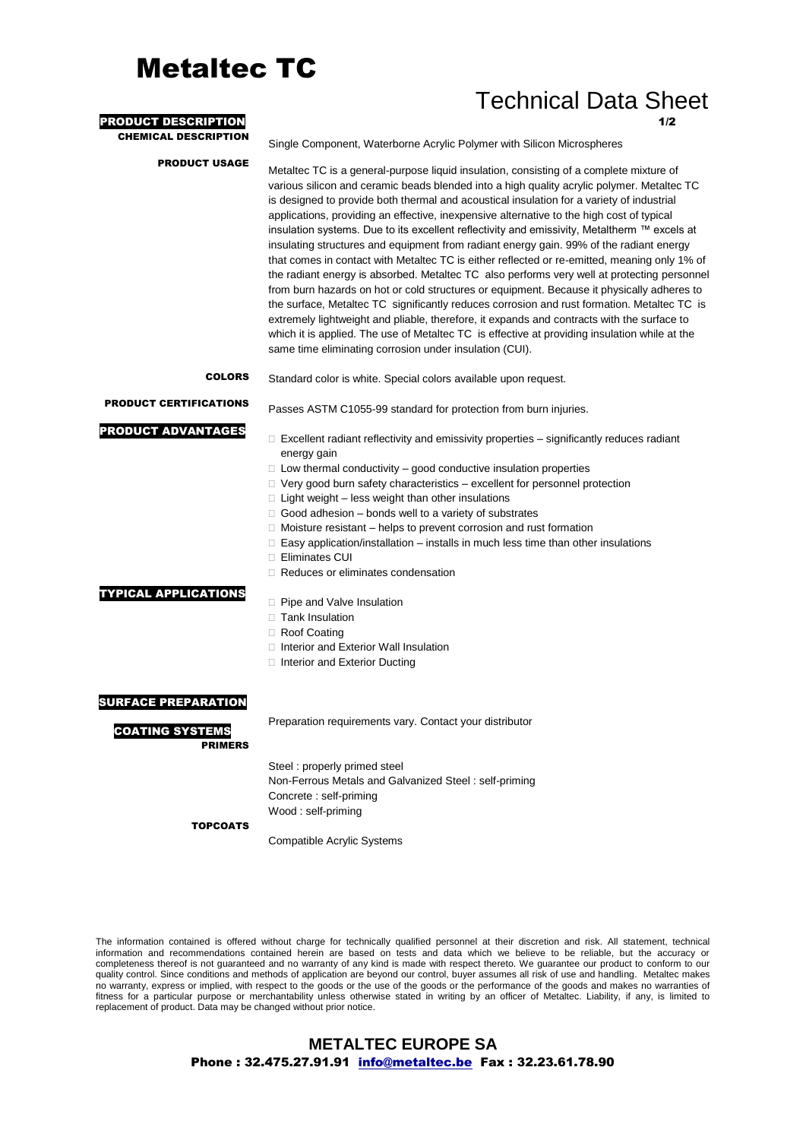# Metaltec TC

### Technical Data Sheet

| <b>PRODUCT DESCRIPTION</b>                                             | 1/2                                                                                                                                                                                                                                                                                                                                                                                                                                                                                                                                                                                                                                                                                                                                                                                                                                                                                                                                                                                                                                                                                                                                                                                                                              |
|------------------------------------------------------------------------|----------------------------------------------------------------------------------------------------------------------------------------------------------------------------------------------------------------------------------------------------------------------------------------------------------------------------------------------------------------------------------------------------------------------------------------------------------------------------------------------------------------------------------------------------------------------------------------------------------------------------------------------------------------------------------------------------------------------------------------------------------------------------------------------------------------------------------------------------------------------------------------------------------------------------------------------------------------------------------------------------------------------------------------------------------------------------------------------------------------------------------------------------------------------------------------------------------------------------------|
| <b>CHEMICAL DESCRIPTION</b>                                            | Single Component, Waterborne Acrylic Polymer with Silicon Microspheres                                                                                                                                                                                                                                                                                                                                                                                                                                                                                                                                                                                                                                                                                                                                                                                                                                                                                                                                                                                                                                                                                                                                                           |
| <b>PRODUCT USAGE</b>                                                   | Metaltec TC is a general-purpose liquid insulation, consisting of a complete mixture of<br>various silicon and ceramic beads blended into a high quality acrylic polymer. Metaltec TC<br>is designed to provide both thermal and acoustical insulation for a variety of industrial<br>applications, providing an effective, inexpensive alternative to the high cost of typical<br>insulation systems. Due to its excellent reflectivity and emissivity, Metaltherm ™ excels at<br>insulating structures and equipment from radiant energy gain. 99% of the radiant energy<br>that comes in contact with Metaltec TC is either reflected or re-emitted, meaning only 1% of<br>the radiant energy is absorbed. Metaltec TC also performs very well at protecting personnel<br>from burn hazards on hot or cold structures or equipment. Because it physically adheres to<br>the surface, Metaltec TC significantly reduces corrosion and rust formation. Metaltec TC is<br>extremely lightweight and pliable, therefore, it expands and contracts with the surface to<br>which it is applied. The use of Metaltec TC is effective at providing insulation while at the<br>same time eliminating corrosion under insulation (CUI). |
| <b>COLORS</b>                                                          | Standard color is white. Special colors available upon request.                                                                                                                                                                                                                                                                                                                                                                                                                                                                                                                                                                                                                                                                                                                                                                                                                                                                                                                                                                                                                                                                                                                                                                  |
| <b>PRODUCT CERTIFICATIONS</b>                                          | Passes ASTM C1055-99 standard for protection from burn injuries.                                                                                                                                                                                                                                                                                                                                                                                                                                                                                                                                                                                                                                                                                                                                                                                                                                                                                                                                                                                                                                                                                                                                                                 |
| <b>PRODUCT ADVANTAGES</b>                                              | $\Box$ Excellent radiant reflectivity and emissivity properties $-$ significantly reduces radiant<br>energy gain<br>$\Box$ Low thermal conductivity – good conductive insulation properties<br>$\Box$ Very good burn safety characteristics – excellent for personnel protection<br>$\Box$ Light weight – less weight than other insulations<br>$\Box$ Good adhesion – bonds well to a variety of substrates<br>$\Box$ Moisture resistant – helps to prevent corrosion and rust formation<br>$\Box$ Easy application/installation – installs in much less time than other insulations<br>□ Eliminates CUI<br>□ Reduces or eliminates condensation                                                                                                                                                                                                                                                                                                                                                                                                                                                                                                                                                                                |
| <b>TYPICAL APPLICATIONS</b>                                            | □ Pipe and Valve Insulation<br>□ Tank Insulation<br>□ Roof Coating<br>□ Interior and Exterior Wall Insulation<br>□ Interior and Exterior Ducting                                                                                                                                                                                                                                                                                                                                                                                                                                                                                                                                                                                                                                                                                                                                                                                                                                                                                                                                                                                                                                                                                 |
| <b>SURFACE PREPARATION</b><br><b>COATING SYSTEMS</b><br><b>PRIMERS</b> | Preparation requirements vary. Contact your distributor                                                                                                                                                                                                                                                                                                                                                                                                                                                                                                                                                                                                                                                                                                                                                                                                                                                                                                                                                                                                                                                                                                                                                                          |
|                                                                        | Steel: properly primed steel<br>Non-Ferrous Metals and Galvanized Steel: self-priming<br>Concrete : self-priming<br>Wood: self-priming                                                                                                                                                                                                                                                                                                                                                                                                                                                                                                                                                                                                                                                                                                                                                                                                                                                                                                                                                                                                                                                                                           |
| <b>TOPCOATS</b>                                                        |                                                                                                                                                                                                                                                                                                                                                                                                                                                                                                                                                                                                                                                                                                                                                                                                                                                                                                                                                                                                                                                                                                                                                                                                                                  |

Compatible Acrylic Systems

The information contained is offered without charge for technically qualified personnel at their discretion and risk. All statement, technical information and recommendations contained herein are based on tests and data which we believe to be reliable, but the accuracy or completeness thereof is not guaranteed and no warranty of any kind is made with respect thereto. We guarantee our product to conform to our quality control. Since conditions and methods of application are beyond our control, buyer assumes all risk of use and handling. Metaltec makes no warranty, express or implied, with respect to the goods or the use of the goods or the performance of the goods and makes no warranties of fitness for a particular purpose or merchantability unless otherwise stated in writing by an officer of Metaltec. Liability, if any, is limited to replacement of product. Data may be changed without prior notice.

#### **METALTEC EUROPE SA**  Phone : 32.475.27.91.91 info@metaltec.be Fax : 32.23.61.78.90